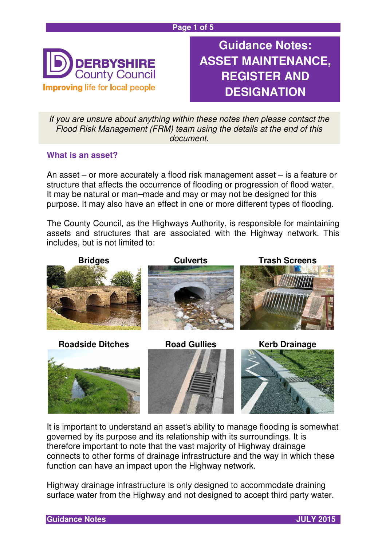

**Guidance Notes: ASSET MAINTENANCE, REGISTER AND DESIGNATION**

If you are unsure about anything within these notes then please contact the Flood Risk Management (FRM) team using the details at the end of this document.

## **What is an asset?**

An asset – or more accurately a flood risk management asset – is a feature or structure that affects the occurrence of flooding or progression of flood water. It may be natural or man–made and may or may not be designed for this purpose. It may also have an effect in one or more different types of flooding.

The County Council, as the Highways Authority, is responsible for maintaining assets and structures that are associated with the Highway network. This includes, but is not limited to:



It is important to understand an asset's ability to manage flooding is somewhat governed by its purpose and its relationship with its surroundings. It is therefore important to note that the vast majority of Highway drainage connects to other forms of drainage infrastructure and the way in which these function can have an impact upon the Highway network.

Highway drainage infrastructure is only designed to accommodate draining surface water from the Highway and not designed to accept third party water.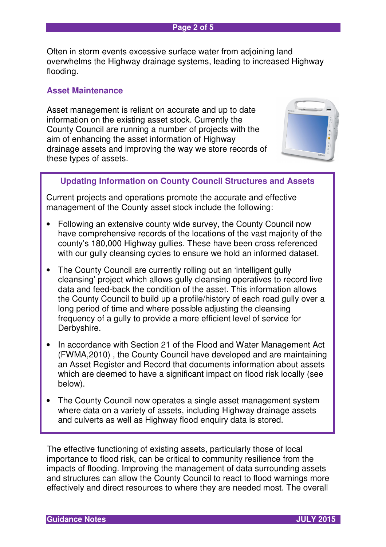#### **Page 2 of 5**

Often in storm events excessive surface water from adjoining land overwhelms the Highway drainage systems, leading to increased Highway flooding.

## **Asset Maintenance**

Asset management is reliant on accurate and up to date information on the existing asset stock. Currently the County Council are running a number of projects with the aim of enhancing the asset information of Highway drainage assets and improving the way we store records of these types of assets.



# **Updating Information on County Council Structures and Assets**

Current projects and operations promote the accurate and effective management of the County asset stock include the following:

- Following an extensive county wide survey, the County Council now have comprehensive records of the locations of the vast majority of the county's 180,000 Highway gullies. These have been cross referenced with our gully cleansing cycles to ensure we hold an informed dataset.
- The County Council are currently rolling out an 'intelligent gully cleansing' project which allows gully cleansing operatives to record live data and feed-back the condition of the asset. This information allows the County Council to build up a profile/history of each road gully over a long period of time and where possible adjusting the cleansing frequency of a gully to provide a more efficient level of service for Derbyshire.
- In accordance with Section 21 of the Flood and Water Management Act (FWMA,2010) , the County Council have developed and are maintaining an Asset Register and Record that documents information about assets which are deemed to have a significant impact on flood risk locally (see below).
- The County Council now operates a single asset management system where data on a variety of assets, including Highway drainage assets and culverts as well as Highway flood enquiry data is stored.

The effective functioning of existing assets, particularly those of local importance to flood risk, can be critical to community resilience from the impacts of flooding. Improving the management of data surrounding assets and structures can allow the County Council to react to flood warnings more effectively and direct resources to where they are needed most. The overall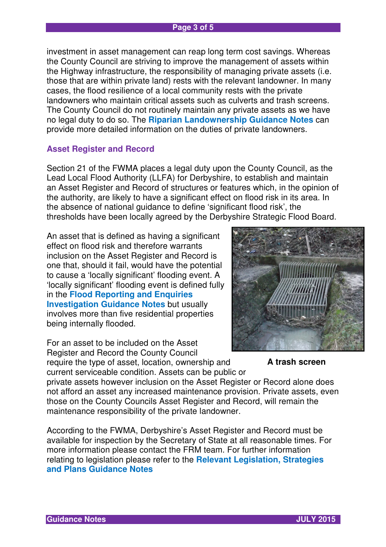#### **Page 3 of 5**

investment in asset management can reap long term cost savings. Whereas the County Council are striving to improve the management of assets within the Highway infrastructure, the responsibility of managing private assets (i.e. those that are within private land) rests with the relevant landowner. In many cases, the flood resilience of a local community rests with the private landowners who maintain critical assets such as culverts and trash screens. The County Council do not routinely maintain any private assets as we have no legal duty to do so. The **Riparian Landownership Guidance Notes** can provide more detailed information on the duties of private landowners.

## **Asset Register and Record**

Section 21 of the FWMA places a legal duty upon the County Council, as the Lead Local Flood Authority (LLFA) for Derbyshire, to establish and maintain an Asset Register and Record of structures or features which, in the opinion of the authority, are likely to have a significant effect on flood risk in its area. In the absence of national guidance to define 'significant flood risk', the thresholds have been locally agreed by the Derbyshire Strategic Flood Board.

An asset that is defined as having a significant effect on flood risk and therefore warrants inclusion on the Asset Register and Record is one that, should it fail, would have the potential to cause a 'locally significant' flooding event. A 'locally significant' flooding event is defined fully in the **Flood Reporting and Enquiries Investigation Guidance Notes** but usually involves more than five residential properties being internally flooded.

For an asset to be included on the Asset Register and Record the County Council require the type of asset, location, ownership and current serviceable condition. Assets can be public or



**A trash screen** 

private assets however inclusion on the Asset Register or Record alone does not afford an asset any increased maintenance provision. Private assets, even those on the County Councils Asset Register and Record, will remain the maintenance responsibility of the private landowner.

According to the FWMA, Derbyshire's Asset Register and Record must be available for inspection by the Secretary of State at all reasonable times. For more information please contact the FRM team. For further information relating to legislation please refer to the **Relevant Legislation, Strategies and Plans Guidance Notes**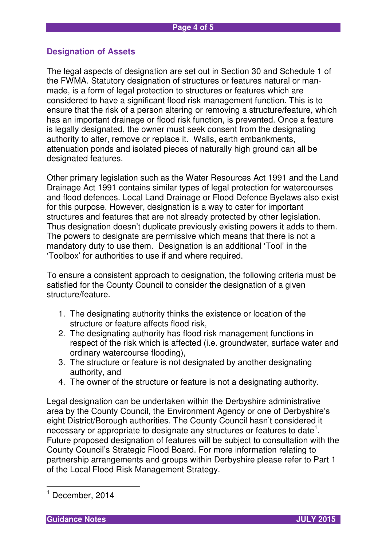## **Designation of Assets**

The legal aspects of designation are set out in Section 30 and Schedule 1 of the FWMA. Statutory designation of structures or features natural or manmade, is a form of legal protection to structures or features which are considered to have a significant flood risk management function. This is to ensure that the risk of a person altering or removing a structure/feature, which has an important drainage or flood risk function, is prevented. Once a feature is legally designated, the owner must seek consent from the designating authority to alter, remove or replace it. Walls, earth embankments, attenuation ponds and isolated pieces of naturally high ground can all be designated features.

Other primary legislation such as the Water Resources Act 1991 and the Land Drainage Act 1991 contains similar types of legal protection for watercourses and flood defences. Local Land Drainage or Flood Defence Byelaws also exist for this purpose. However, designation is a way to cater for important structures and features that are not already protected by other legislation. Thus designation doesn't duplicate previously existing powers it adds to them. The powers to designate are permissive which means that there is not a mandatory duty to use them. Designation is an additional 'Tool' in the 'Toolbox' for authorities to use if and where required.

To ensure a consistent approach to designation, the following criteria must be satisfied for the County Council to consider the designation of a given structure/feature.

- 1. The designating authority thinks the existence or location of the structure or feature affects flood risk,
- 2. The designating authority has flood risk management functions in respect of the risk which is affected (i.e. groundwater, surface water and ordinary watercourse flooding),
- 3. The structure or feature is not designated by another designating authority, and
- 4. The owner of the structure or feature is not a designating authority.

Legal designation can be undertaken within the Derbyshire administrative area by the County Council, the Environment Agency or one of Derbyshire's eight District/Borough authorities. The County Council hasn't considered it necessary or appropriate to designate any structures or features to date<sup>1</sup>. Future proposed designation of features will be subject to consultation with the County Council's Strategic Flood Board. For more information relating to partnership arrangements and groups within Derbyshire please refer to Part 1 of the Local Flood Risk Management Strategy.

 $\overline{\phantom{a}}$ 

<sup>1</sup> December, 2014